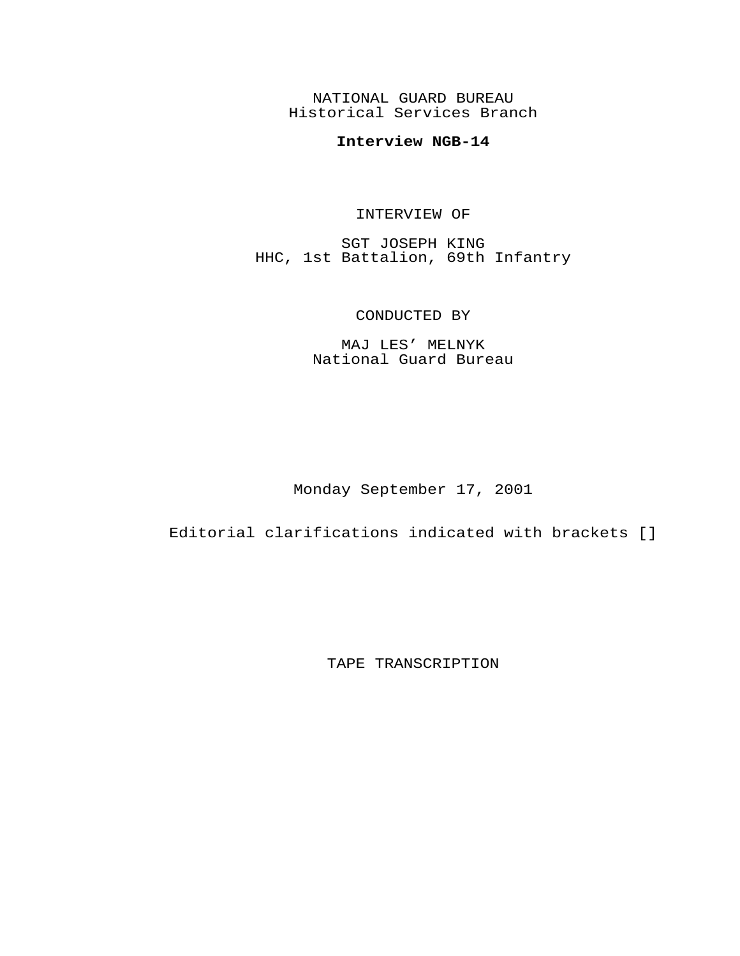NATIONAL GUARD BUREAU Historical Services Branch

## **Interview NGB-14**

## INTERVIEW OF

SGT JOSEPH KING HHC, 1st Battalion, 69th Infantry

## CONDUCTED BY

MAJ LES' MELNYK National Guard Bureau

Monday September 17, 2001

Editorial clarifications indicated with brackets []

TAPE TRANSCRIPTION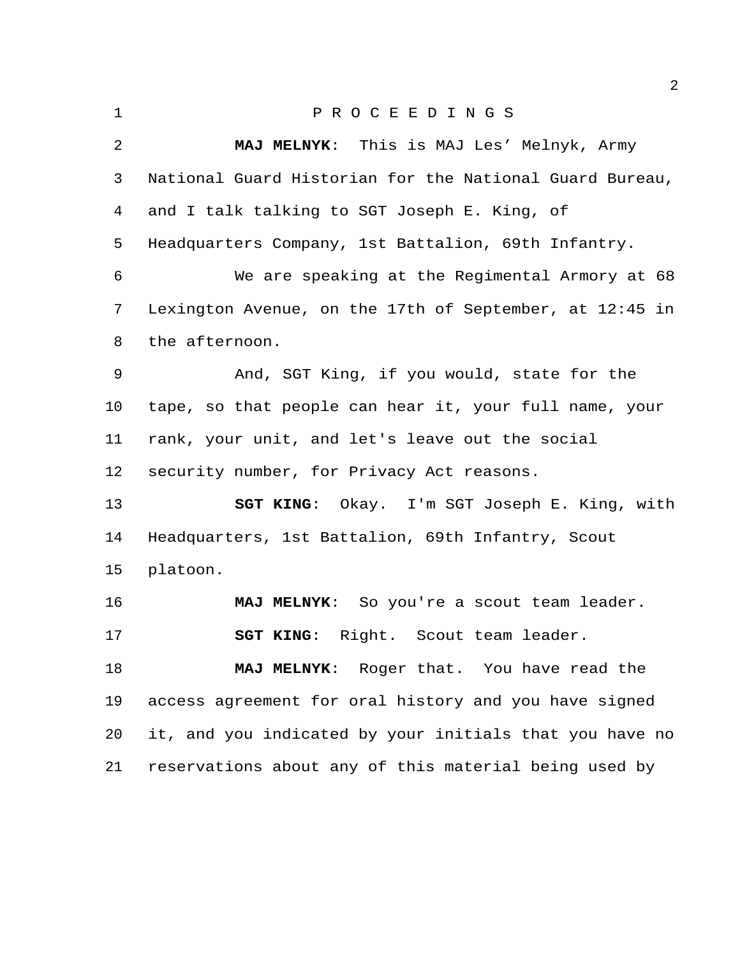| $\mathbf 1$    | PROCEEDINGS                                             |
|----------------|---------------------------------------------------------|
| $\overline{2}$ | MAJ MELNYK: This is MAJ Les' Melnyk, Army               |
| 3              | National Guard Historian for the National Guard Bureau, |
| 4              | and I talk talking to SGT Joseph E. King, of            |
| 5              | Headquarters Company, 1st Battalion, 69th Infantry.     |
| 6              | We are speaking at the Regimental Armory at 68          |
| 7              | Lexington Avenue, on the 17th of September, at 12:45 in |
| 8              | the afternoon.                                          |
| $\mathsf 9$    | And, SGT King, if you would, state for the              |
| 10             | tape, so that people can hear it, your full name, your  |
| 11             | rank, your unit, and let's leave out the social         |
| 12             | security number, for Privacy Act reasons.               |
| 13             | SGT KING: Okay. I'm SGT Joseph E. King, with            |
| 14             | Headquarters, 1st Battalion, 69th Infantry, Scout       |
| 15             | platoon.                                                |
| 16             | MAJ MELNYK: So you're a scout team leader.              |
| 17             | Right. Scout team leader.<br><b>SGT KING:</b>           |
| 18             | MAJ MELNYK: Roger that. You have read the               |
| 19             | access agreement for oral history and you have signed   |
| 20             | it, and you indicated by your initials that you have no |
| 21             | reservations about any of this material being used by   |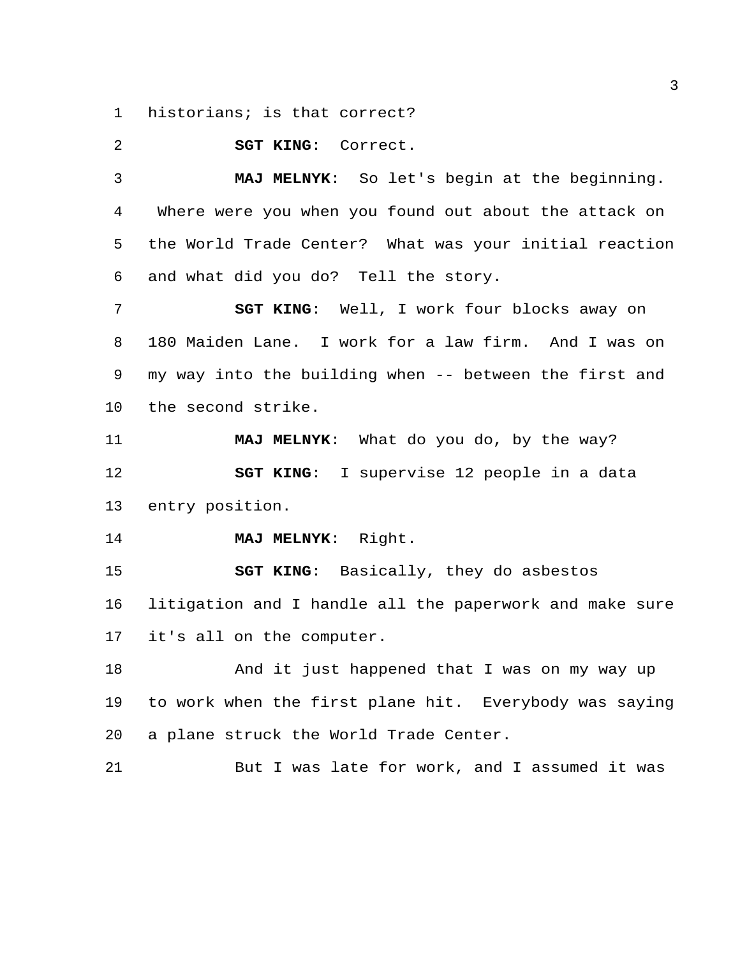historians; is that correct?

**SGT KING**: Correct.

 **MAJ MELNYK**: So let's begin at the beginning. Where were you when you found out about the attack on the World Trade Center? What was your initial reaction and what did you do? Tell the story.

 **SGT KING**: Well, I work four blocks away on 180 Maiden Lane. I work for a law firm. And I was on my way into the building when -- between the first and the second strike.

 **MAJ MELNYK**: What do you do, by the way? **SGT KING**: I supervise 12 people in a data entry position.

**MAJ MELNYK**: Right.

 **SGT KING**: Basically, they do asbestos litigation and I handle all the paperwork and make sure it's all on the computer.

18 And it just happened that I was on my way up to work when the first plane hit. Everybody was saying a plane struck the World Trade Center.

But I was late for work, and I assumed it was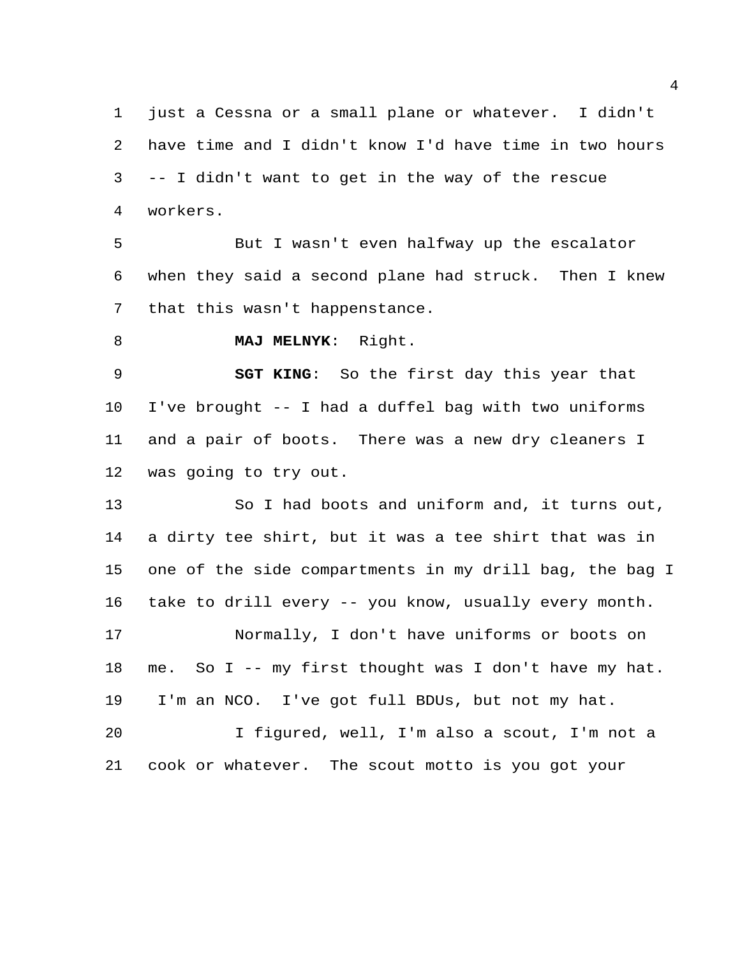just a Cessna or a small plane or whatever. I didn't have time and I didn't know I'd have time in two hours -- I didn't want to get in the way of the rescue workers.

 But I wasn't even halfway up the escalator when they said a second plane had struck. Then I knew that this wasn't happenstance.

**MAJ MELNYK**: Right.

 **SGT KING**: So the first day this year that I've brought -- I had a duffel bag with two uniforms and a pair of boots. There was a new dry cleaners I was going to try out.

 So I had boots and uniform and, it turns out, a dirty tee shirt, but it was a tee shirt that was in one of the side compartments in my drill bag, the bag I take to drill every -- you know, usually every month. Normally, I don't have uniforms or boots on me. So I -- my first thought was I don't have my hat. I'm an NCO. I've got full BDUs, but not my hat.

 I figured, well, I'm also a scout, I'm not a cook or whatever. The scout motto is you got your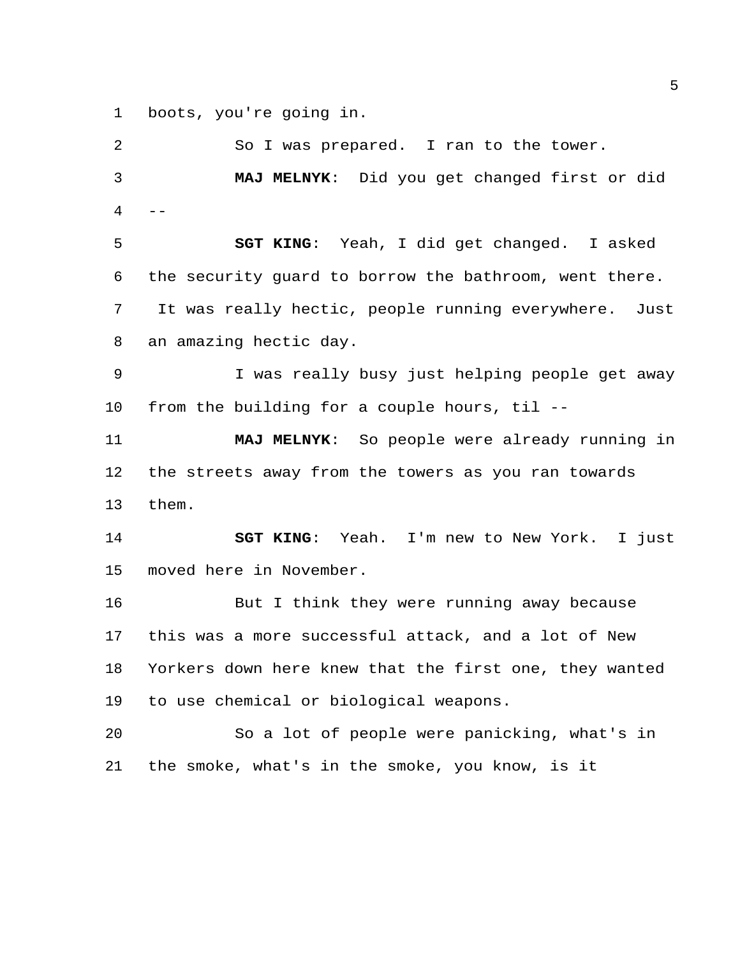boots, you're going in.

 So I was prepared. I ran to the tower. **MAJ MELNYK**: Did you get changed first or did  $4 - -$  **SGT KING**: Yeah, I did get changed. I asked the security guard to borrow the bathroom, went there. It was really hectic, people running everywhere. Just an amazing hectic day. I was really busy just helping people get away from the building for a couple hours, til -- **MAJ MELNYK**: So people were already running in the streets away from the towers as you ran towards them. **SGT KING**: Yeah. I'm new to New York. I just moved here in November. 16 But I think they were running away because this was a more successful attack, and a lot of New Yorkers down here knew that the first one, they wanted to use chemical or biological weapons.

 So a lot of people were panicking, what's in the smoke, what's in the smoke, you know, is it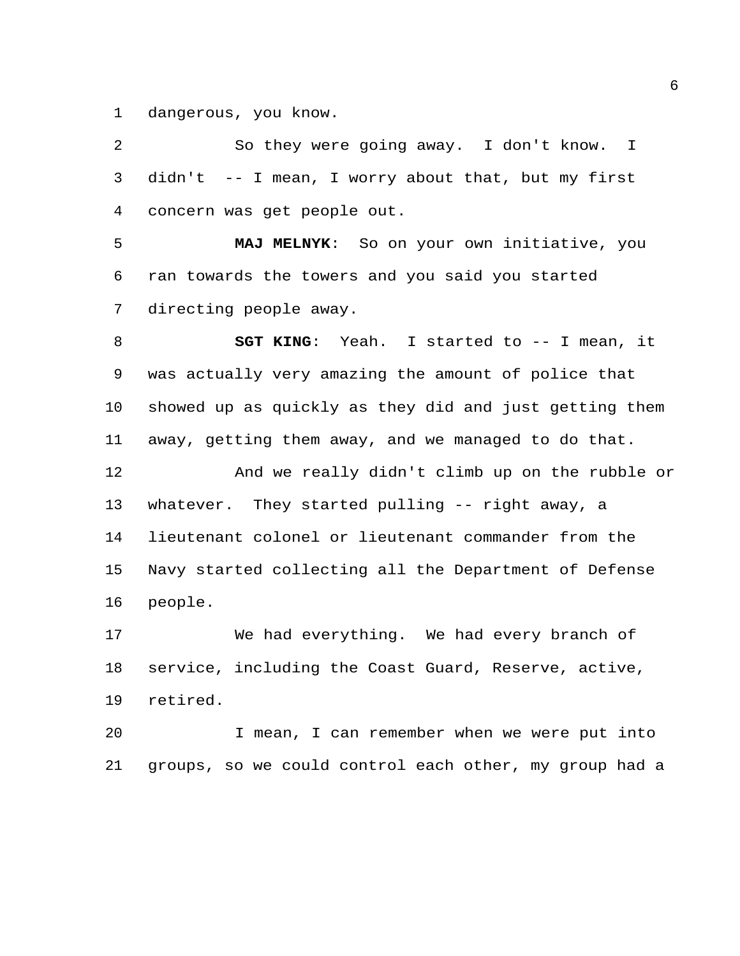dangerous, you know.

 So they were going away. I don't know. I didn't -- I mean, I worry about that, but my first concern was get people out. **MAJ MELNYK**: So on your own initiative, you ran towards the towers and you said you started directing people away. **SGT KING**: Yeah. I started to -- I mean, it was actually very amazing the amount of police that showed up as quickly as they did and just getting them away, getting them away, and we managed to do that. And we really didn't climb up on the rubble or whatever. They started pulling -- right away, a lieutenant colonel or lieutenant commander from the Navy started collecting all the Department of Defense people. We had everything. We had every branch of service, including the Coast Guard, Reserve, active, retired. I mean, I can remember when we were put into

groups, so we could control each other, my group had a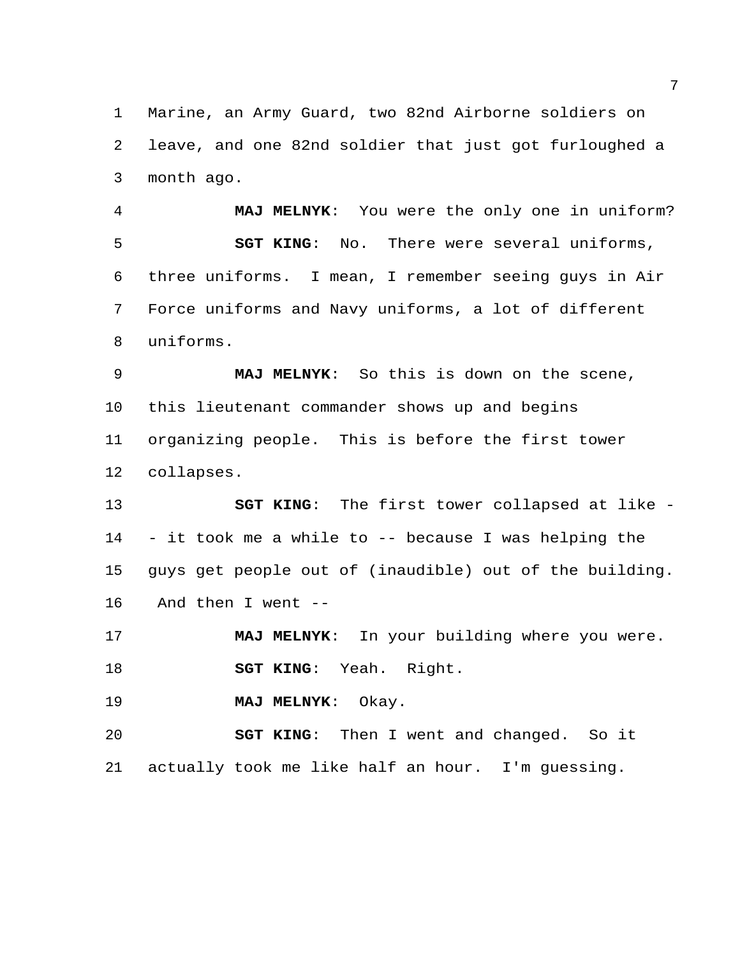Marine, an Army Guard, two 82nd Airborne soldiers on leave, and one 82nd soldier that just got furloughed a month ago.

 **MAJ MELNYK**: You were the only one in uniform? **SGT KING**: No. There were several uniforms, three uniforms. I mean, I remember seeing guys in Air Force uniforms and Navy uniforms, a lot of different uniforms.

 **MAJ MELNYK**: So this is down on the scene, this lieutenant commander shows up and begins organizing people. This is before the first tower collapses.

 **SGT KING**: The first tower collapsed at like - - it took me a while to -- because I was helping the guys get people out of (inaudible) out of the building. And then I went --

 **MAJ MELNYK**: In your building where you were. **SGT KING**: Yeah. Right.

**MAJ MELNYK**: Okay.

 **SGT KING**: Then I went and changed. So it actually took me like half an hour. I'm guessing.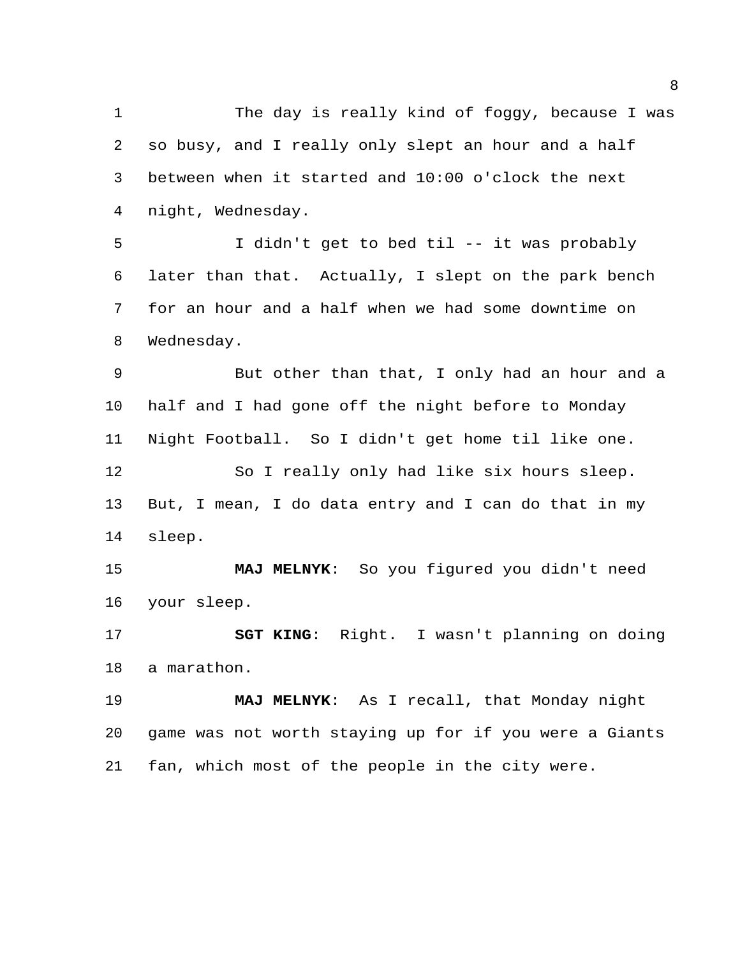The day is really kind of foggy, because I was so busy, and I really only slept an hour and a half between when it started and 10:00 o'clock the next night, Wednesday.

 I didn't get to bed til -- it was probably later than that. Actually, I slept on the park bench for an hour and a half when we had some downtime on Wednesday.

 But other than that, I only had an hour and a half and I had gone off the night before to Monday Night Football. So I didn't get home til like one. So I really only had like six hours sleep. But, I mean, I do data entry and I can do that in my

sleep.

 **MAJ MELNYK**: So you figured you didn't need your sleep.

 **SGT KING**: Right. I wasn't planning on doing a marathon.

 **MAJ MELNYK**: As I recall, that Monday night game was not worth staying up for if you were a Giants fan, which most of the people in the city were.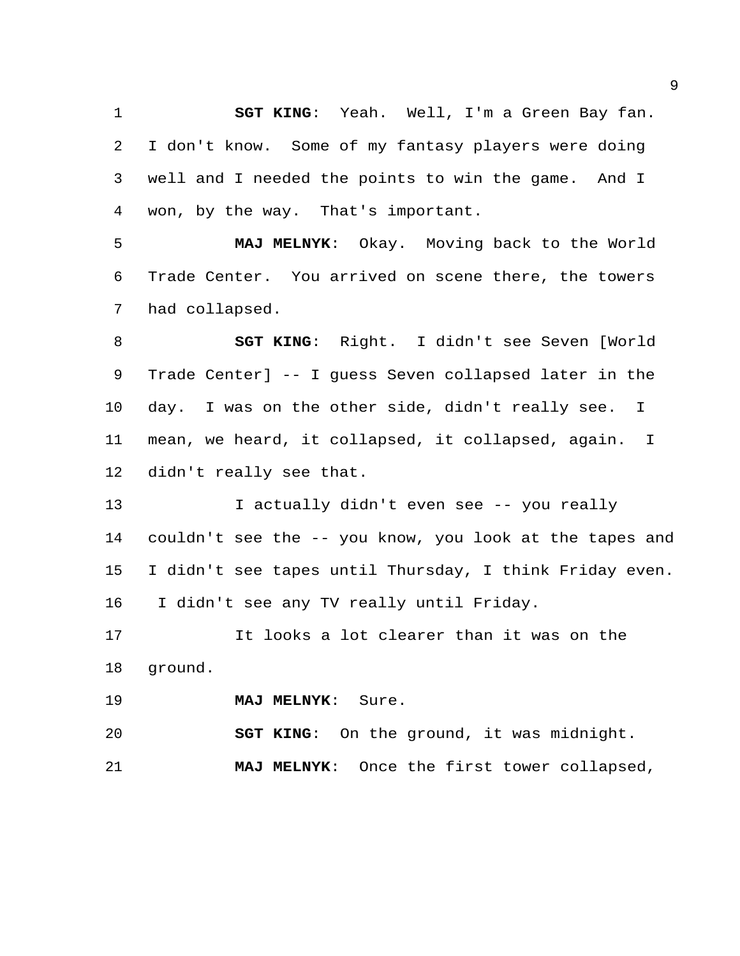**SGT KING**: Yeah. Well, I'm a Green Bay fan. I don't know. Some of my fantasy players were doing well and I needed the points to win the game. And I won, by the way. That's important.

 **MAJ MELNYK**: Okay. Moving back to the World Trade Center. You arrived on scene there, the towers had collapsed.

 **SGT KING**: Right. I didn't see Seven [World Trade Center] -- I guess Seven collapsed later in the day. I was on the other side, didn't really see. I mean, we heard, it collapsed, it collapsed, again. I didn't really see that.

 I actually didn't even see -- you really couldn't see the -- you know, you look at the tapes and I didn't see tapes until Thursday, I think Friday even. I didn't see any TV really until Friday.

 It looks a lot clearer than it was on the ground.

**MAJ MELNYK**: Sure.

**SGT KING**: On the ground, it was midnight.

**MAJ MELNYK**: Once the first tower collapsed,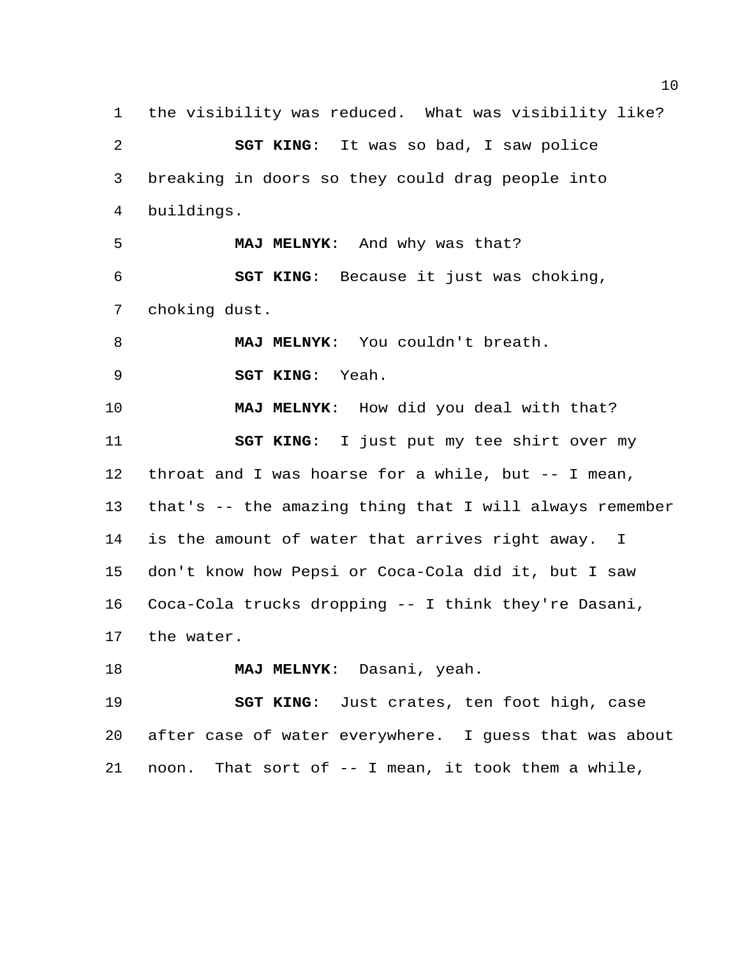the visibility was reduced. What was visibility like? **SGT KING**: It was so bad, I saw police breaking in doors so they could drag people into buildings. **MAJ MELNYK**: And why was that? **SGT KING**: Because it just was choking, choking dust. **MAJ MELNYK**: You couldn't breath. **SGT KING**: Yeah. **MAJ MELNYK**: How did you deal with that? **SGT KING**: I just put my tee shirt over my throat and I was hoarse for a while, but -- I mean, that's -- the amazing thing that I will always remember is the amount of water that arrives right away. I don't know how Pepsi or Coca-Cola did it, but I saw Coca-Cola trucks dropping -- I think they're Dasani, the water. **MAJ MELNYK**: Dasani, yeah.

 **SGT KING**: Just crates, ten foot high, case after case of water everywhere. I guess that was about noon. That sort of -- I mean, it took them a while,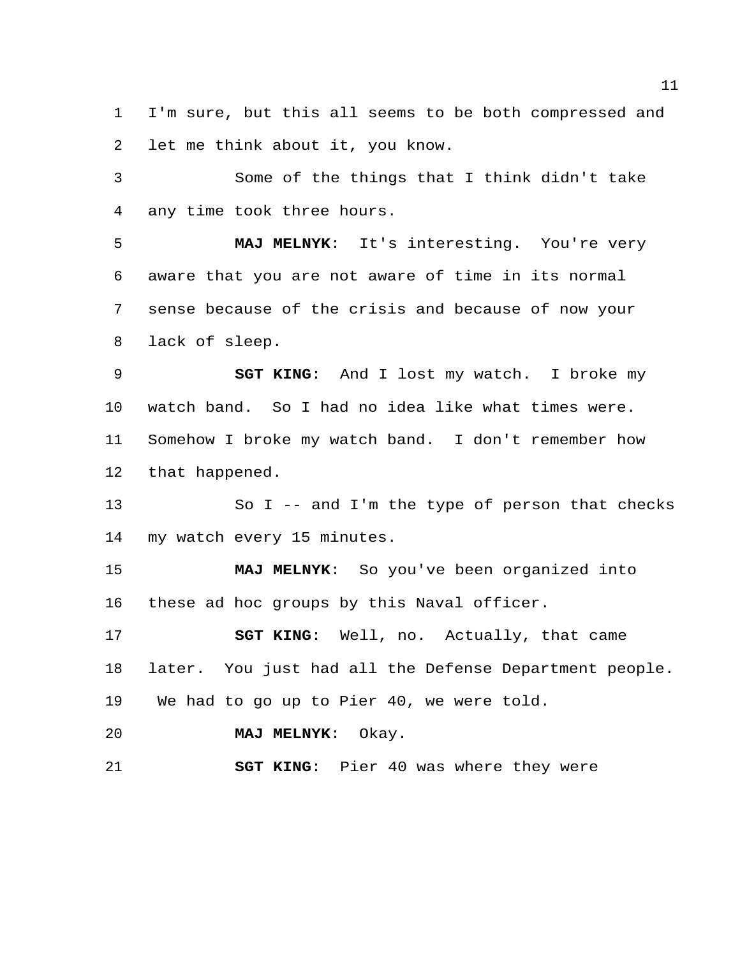I'm sure, but this all seems to be both compressed and let me think about it, you know.

 Some of the things that I think didn't take any time took three hours.

 **MAJ MELNYK**: It's interesting. You're very aware that you are not aware of time in its normal sense because of the crisis and because of now your lack of sleep.

 **SGT KING**: And I lost my watch. I broke my watch band. So I had no idea like what times were. Somehow I broke my watch band. I don't remember how that happened.

 So I -- and I'm the type of person that checks my watch every 15 minutes.

 **MAJ MELNYK**: So you've been organized into these ad hoc groups by this Naval officer.

 **SGT KING**: Well, no. Actually, that came later. You just had all the Defense Department people. We had to go up to Pier 40, we were told.

**MAJ MELNYK**: Okay.

**SGT KING**: Pier 40 was where they were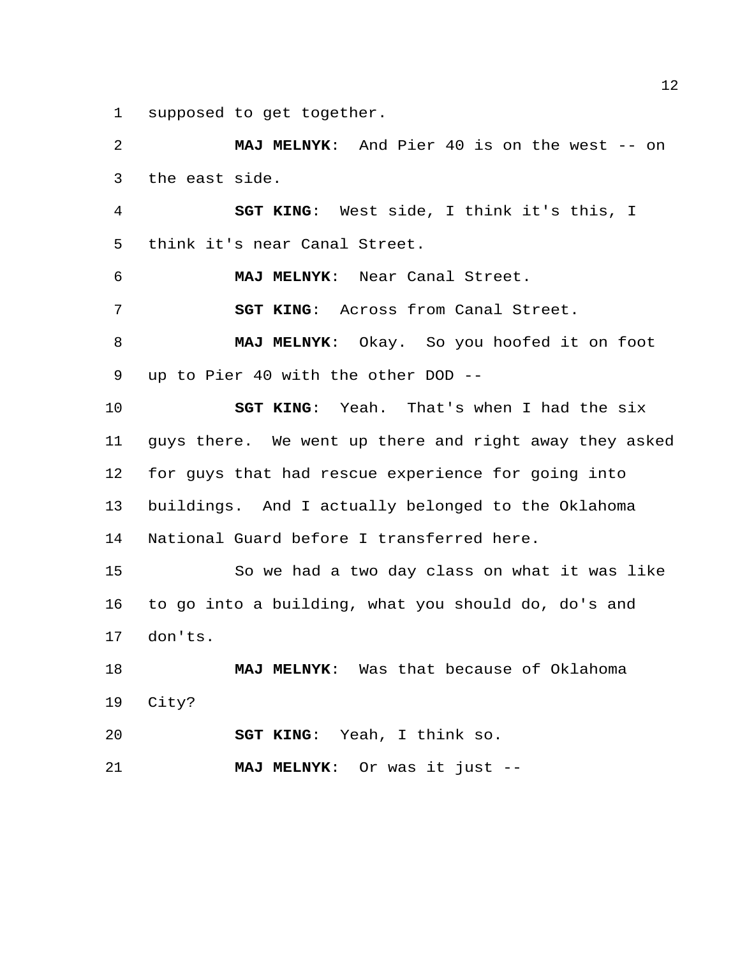supposed to get together.

 **MAJ MELNYK**: And Pier 40 is on the west -- on the east side. **SGT KING**: West side, I think it's this, I think it's near Canal Street. **MAJ MELNYK**: Near Canal Street. **SGT KING**: Across from Canal Street. **MAJ MELNYK**: Okay. So you hoofed it on foot up to Pier 40 with the other DOD -- **SGT KING**: Yeah. That's when I had the six guys there. We went up there and right away they asked for guys that had rescue experience for going into buildings. And I actually belonged to the Oklahoma National Guard before I transferred here. So we had a two day class on what it was like to go into a building, what you should do, do's and don'ts. **MAJ MELNYK**: Was that because of Oklahoma City? **SGT KING**: Yeah, I think so. **MAJ MELNYK**: Or was it just --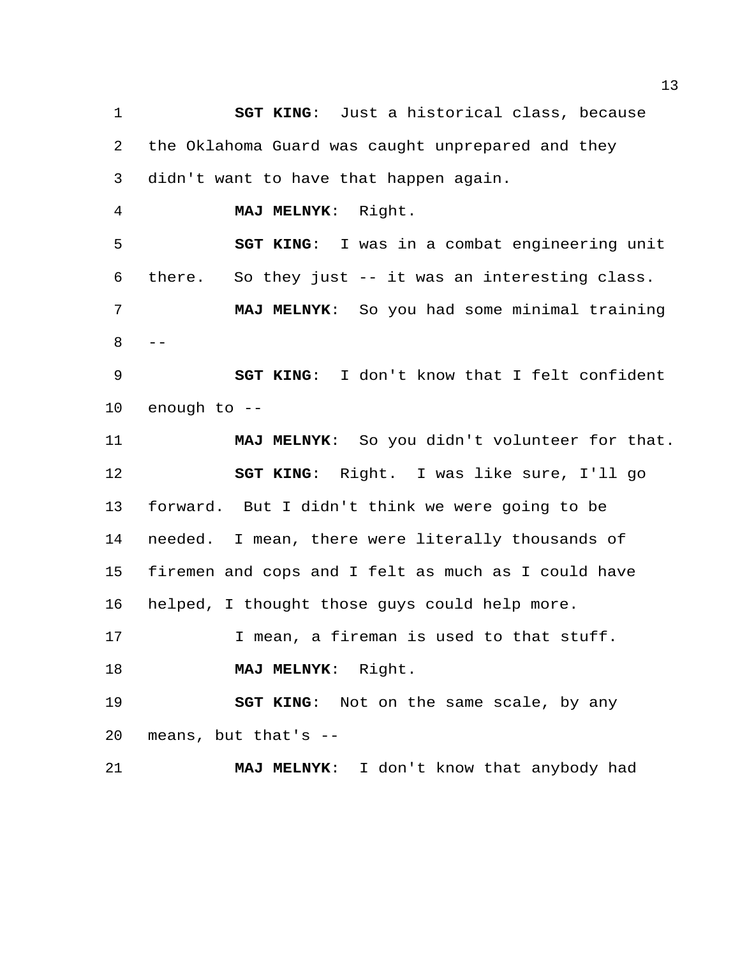**SGT KING**: Just a historical class, because the Oklahoma Guard was caught unprepared and they didn't want to have that happen again. **MAJ MELNYK**: Right. **SGT KING**: I was in a combat engineering unit there. So they just -- it was an interesting class. **MAJ MELNYK**: So you had some minimal training  $8 - -$  **SGT KING**: I don't know that I felt confident enough to -- **MAJ MELNYK**: So you didn't volunteer for that. **SGT KING**: Right. I was like sure, I'll go forward. But I didn't think we were going to be needed. I mean, there were literally thousands of firemen and cops and I felt as much as I could have helped, I thought those guys could help more. I mean, a fireman is used to that stuff. **MAJ MELNYK**: Right. **SGT KING**: Not on the same scale, by any means, but that's -- **MAJ MELNYK**: I don't know that anybody had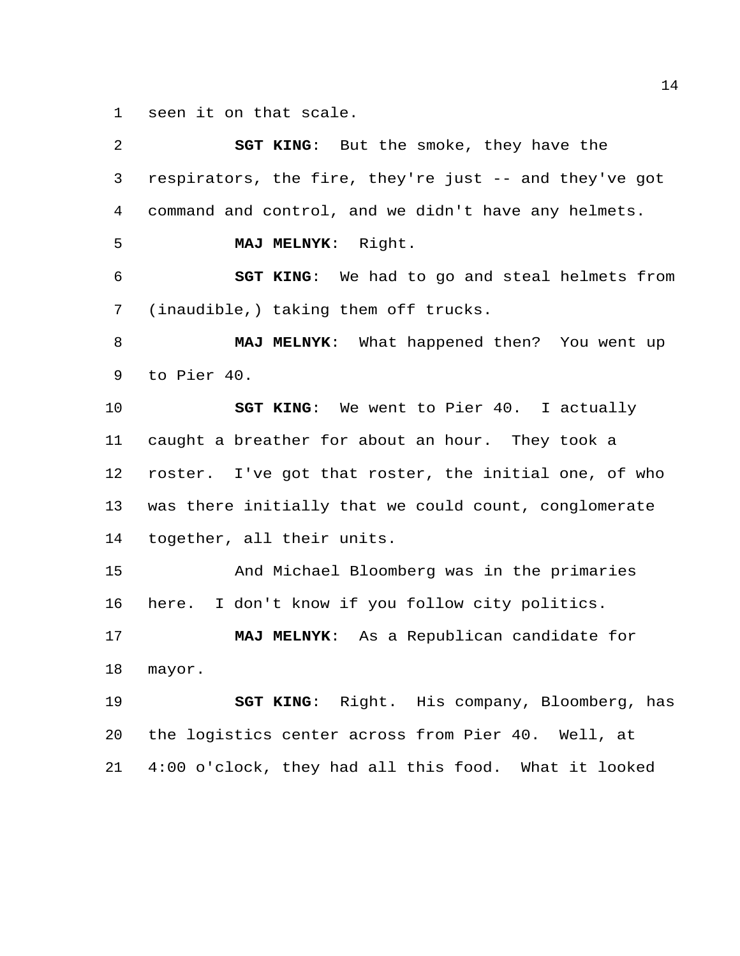seen it on that scale.

| 2  | <b>SGT KING:</b> But the smoke, they have the          |
|----|--------------------------------------------------------|
| 3  | respirators, the fire, they're just -- and they've got |
| 4  | command and control, and we didn't have any helmets.   |
| 5  | MAJ MELNYK: Right.                                     |
| 6  | SGT KING: We had to go and steal helmets from          |
| 7  | (inaudible,) taking them off trucks.                   |
| 8  | MAJ MELNYK: What happened then? You went up            |
| 9  | to Pier 40.                                            |
| 10 | <b>SGT KING:</b> We went to Pier 40. I actually        |
| 11 | caught a breather for about an hour. They took a       |
| 12 | roster. I've got that roster, the initial one, of who  |
| 13 | was there initially that we could count, conglomerate  |
| 14 | together, all their units.                             |
| 15 | And Michael Bloomberg was in the primaries             |
| 16 | here. I don't know if you follow city politics.        |
| 17 | MAJ MELNYK: As a Republican candidate for              |
| 18 | mayor.                                                 |
| 19 | SGT KING: Right. His company, Bloomberg, has           |
| 20 | the logistics center across from Pier 40. Well, at     |
| 21 | 4:00 o'clock, they had all this food. What it looked   |
|    |                                                        |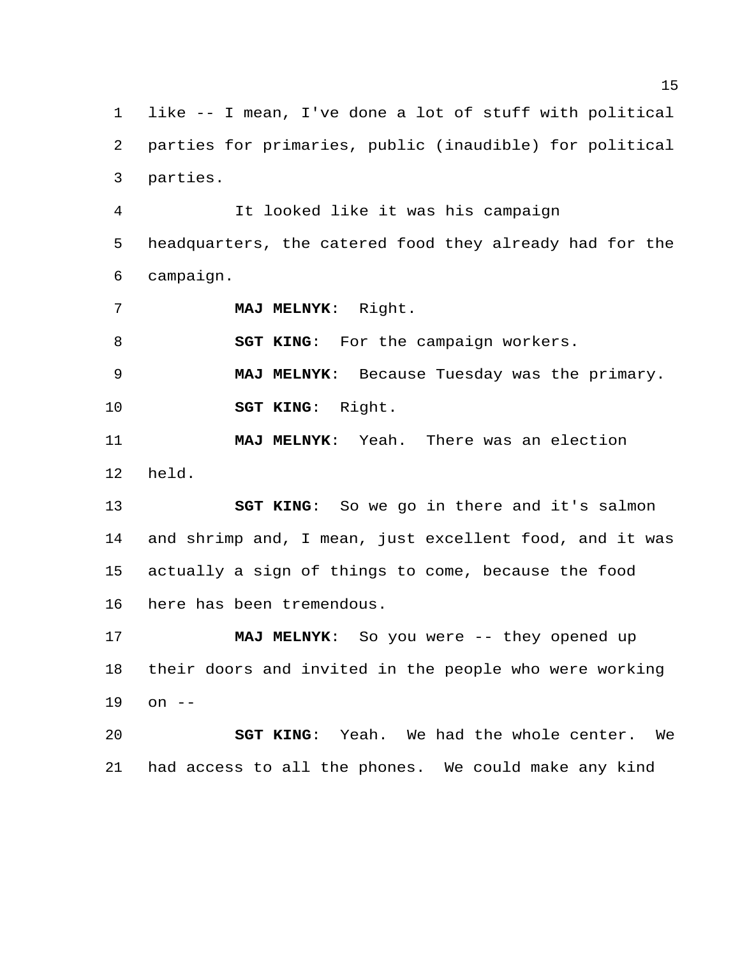like -- I mean, I've done a lot of stuff with political parties for primaries, public (inaudible) for political parties.

 It looked like it was his campaign headquarters, the catered food they already had for the campaign.

**MAJ MELNYK**: Right.

**SGT KING:** For the campaign workers.

**MAJ MELNYK**: Because Tuesday was the primary.

**SGT KING**: Right.

 **MAJ MELNYK**: Yeah. There was an election held.

 **SGT KING**: So we go in there and it's salmon and shrimp and, I mean, just excellent food, and it was actually a sign of things to come, because the food here has been tremendous.

 **MAJ MELNYK**: So you were -- they opened up their doors and invited in the people who were working on --

 **SGT KING**: Yeah. We had the whole center. We had access to all the phones. We could make any kind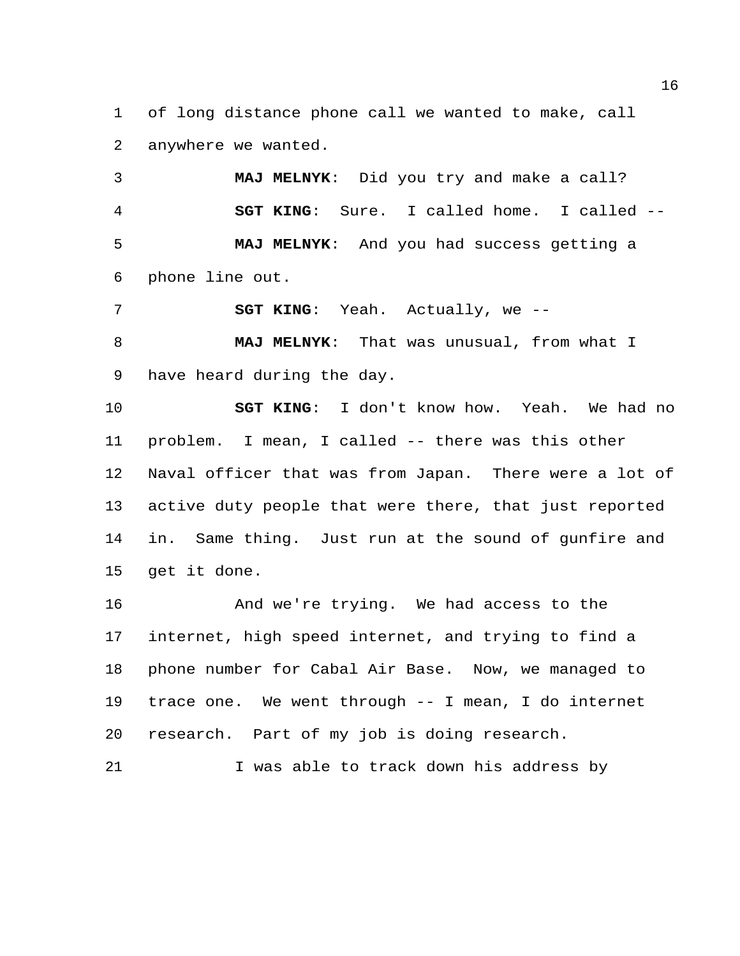of long distance phone call we wanted to make, call anywhere we wanted.

 **MAJ MELNYK**: Did you try and make a call? **SGT KING**: Sure. I called home. I called -- **MAJ MELNYK**: And you had success getting a phone line out.

**SGT KING:** Yeah. Actually, we --

 **MAJ MELNYK**: That was unusual, from what I have heard during the day.

 **SGT KING**: I don't know how. Yeah. We had no problem. I mean, I called -- there was this other Naval officer that was from Japan. There were a lot of active duty people that were there, that just reported in. Same thing. Just run at the sound of gunfire and get it done.

 And we're trying. We had access to the internet, high speed internet, and trying to find a phone number for Cabal Air Base. Now, we managed to trace one. We went through -- I mean, I do internet research. Part of my job is doing research.

21 I was able to track down his address by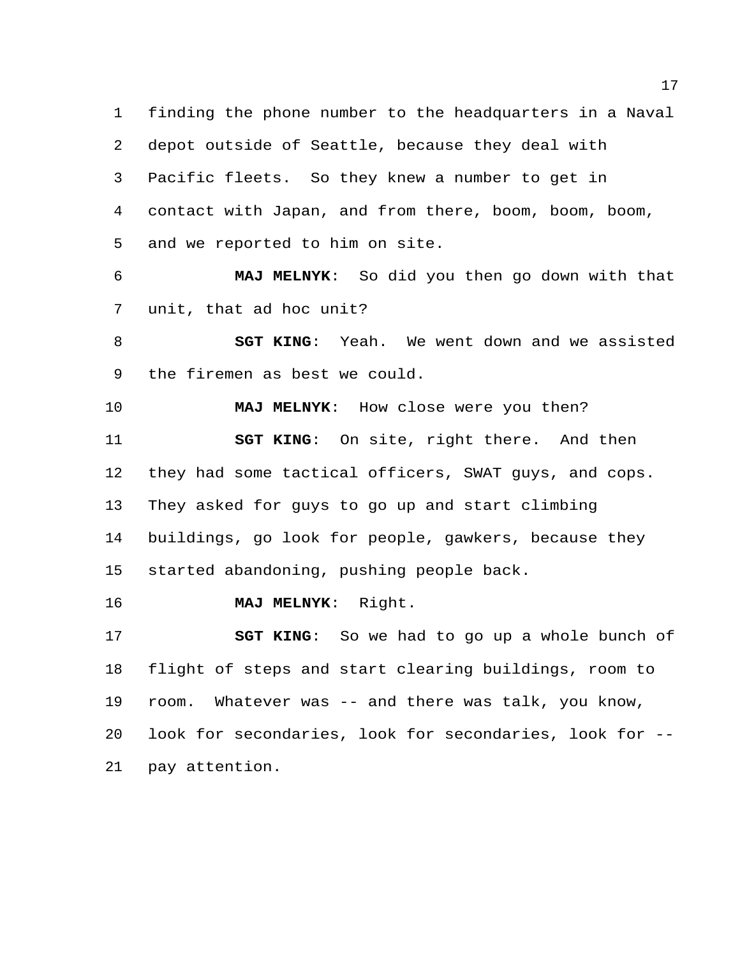finding the phone number to the headquarters in a Naval depot outside of Seattle, because they deal with Pacific fleets. So they knew a number to get in contact with Japan, and from there, boom, boom, boom, and we reported to him on site.

 **MAJ MELNYK**: So did you then go down with that unit, that ad hoc unit?

 **SGT KING**: Yeah. We went down and we assisted the firemen as best we could.

 **MAJ MELNYK**: How close were you then? **SGT KING**: On site, right there. And then they had some tactical officers, SWAT guys, and cops. They asked for guys to go up and start climbing buildings, go look for people, gawkers, because they started abandoning, pushing people back.

**MAJ MELNYK**: Right.

 **SGT KING**: So we had to go up a whole bunch of flight of steps and start clearing buildings, room to room. Whatever was -- and there was talk, you know, look for secondaries, look for secondaries, look for -- pay attention.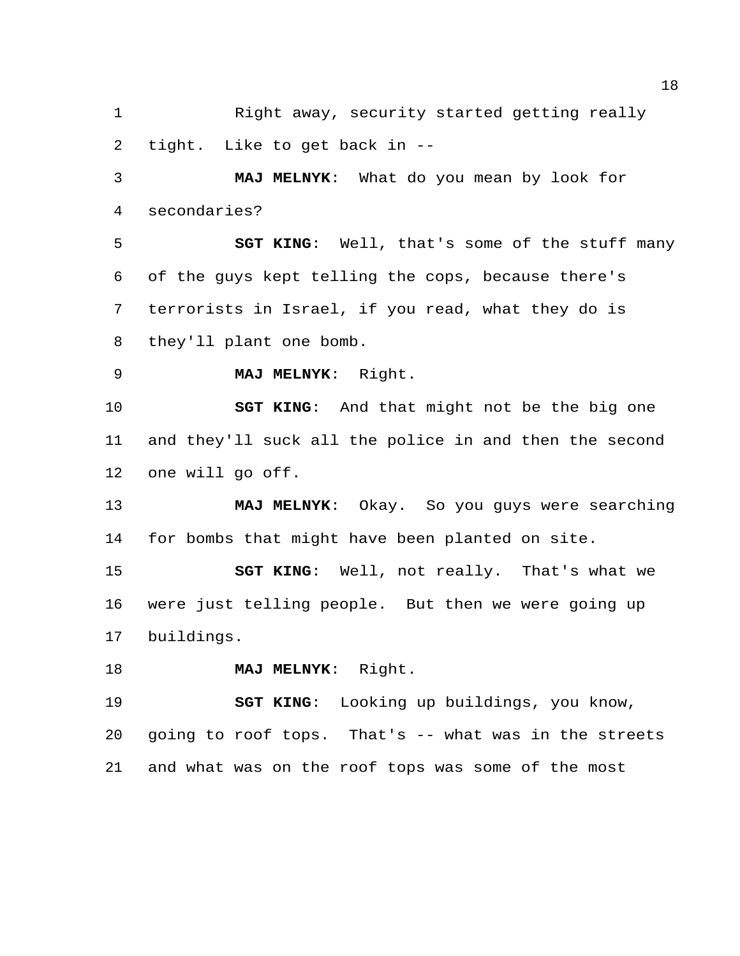Right away, security started getting really tight. Like to get back in --

 **MAJ MELNYK**: What do you mean by look for secondaries?

 **SGT KING**: Well, that's some of the stuff many of the guys kept telling the cops, because there's terrorists in Israel, if you read, what they do is they'll plant one bomb.

**MAJ MELNYK**: Right.

 **SGT KING**: And that might not be the big one and they'll suck all the police in and then the second one will go off.

 **MAJ MELNYK**: Okay. So you guys were searching for bombs that might have been planted on site.

 **SGT KING**: Well, not really. That's what we were just telling people. But then we were going up buildings.

**MAJ MELNYK**: Right.

 **SGT KING**: Looking up buildings, you know, going to roof tops. That's -- what was in the streets and what was on the roof tops was some of the most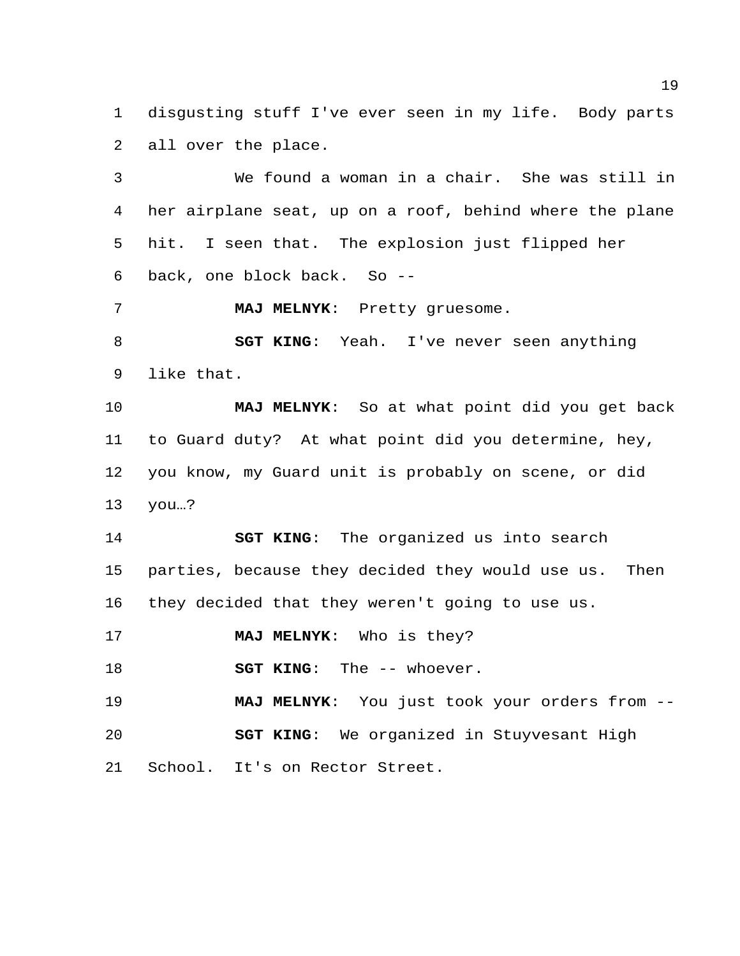disgusting stuff I've ever seen in my life. Body parts all over the place.

 We found a woman in a chair. She was still in her airplane seat, up on a roof, behind where the plane hit. I seen that. The explosion just flipped her back, one block back. So --

**MAJ MELNYK**: Pretty gruesome.

 **SGT KING**: Yeah. I've never seen anything like that.

 **MAJ MELNYK**: So at what point did you get back to Guard duty? At what point did you determine, hey, you know, my Guard unit is probably on scene, or did you…?

 **SGT KING**: The organized us into search parties, because they decided they would use us. Then they decided that they weren't going to use us.

**MAJ MELNYK**: Who is they?

**SGT KING**: The -- whoever.

 **MAJ MELNYK**: You just took your orders from -- **SGT KING**: We organized in Stuyvesant High School. It's on Rector Street.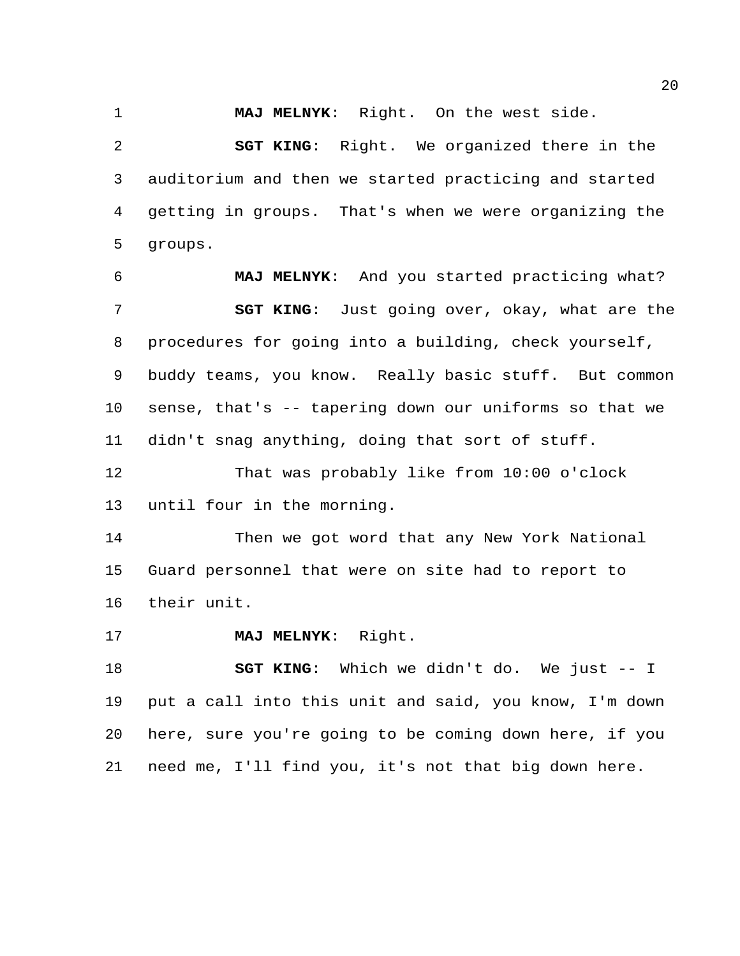**MAJ MELNYK**: Right. On the west side.

 **SGT KING**: Right. We organized there in the auditorium and then we started practicing and started getting in groups. That's when we were organizing the groups.

 **MAJ MELNYK**: And you started practicing what? **SGT KING**: Just going over, okay, what are the procedures for going into a building, check yourself, buddy teams, you know. Really basic stuff. But common sense, that's -- tapering down our uniforms so that we didn't snag anything, doing that sort of stuff.

 That was probably like from 10:00 o'clock until four in the morning.

 Then we got word that any New York National Guard personnel that were on site had to report to their unit.

**MAJ MELNYK**: Right.

 **SGT KING**: Which we didn't do. We just -- I put a call into this unit and said, you know, I'm down here, sure you're going to be coming down here, if you need me, I'll find you, it's not that big down here.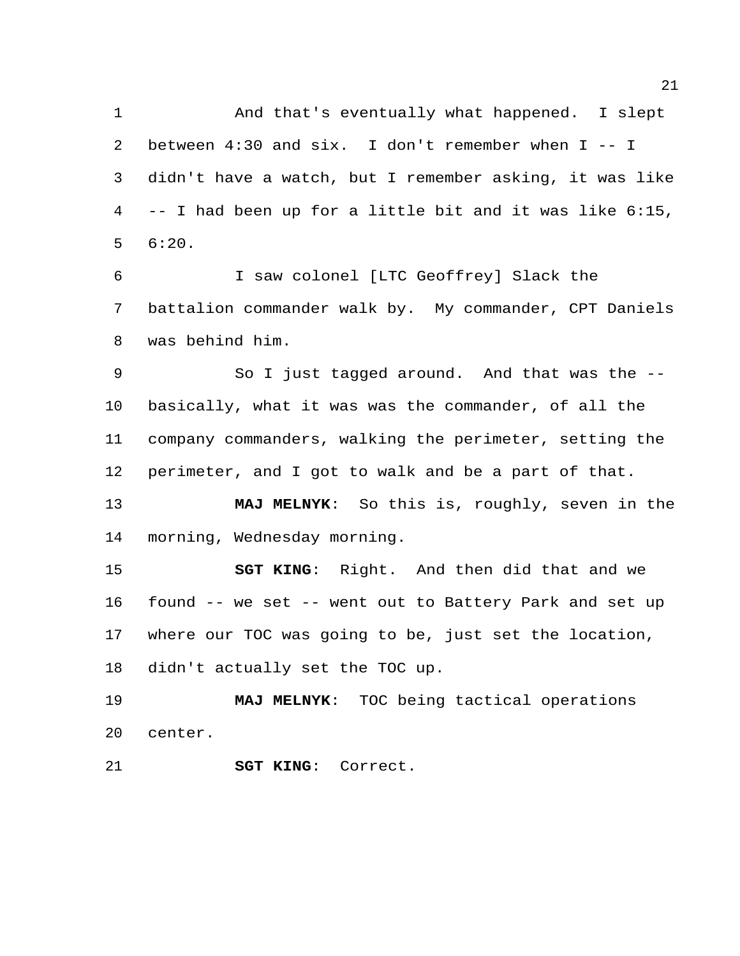And that's eventually what happened. I slept between 4:30 and six. I don't remember when I -- I didn't have a watch, but I remember asking, it was like -- I had been up for a little bit and it was like 6:15, 6:20.

 I saw colonel [LTC Geoffrey] Slack the battalion commander walk by. My commander, CPT Daniels was behind him.

 So I just tagged around. And that was the -- basically, what it was was the commander, of all the company commanders, walking the perimeter, setting the perimeter, and I got to walk and be a part of that.

 **MAJ MELNYK**: So this is, roughly, seven in the morning, Wednesday morning.

 **SGT KING**: Right. And then did that and we found -- we set -- went out to Battery Park and set up where our TOC was going to be, just set the location, didn't actually set the TOC up.

 **MAJ MELNYK**: TOC being tactical operations center.

**SGT KING**: Correct.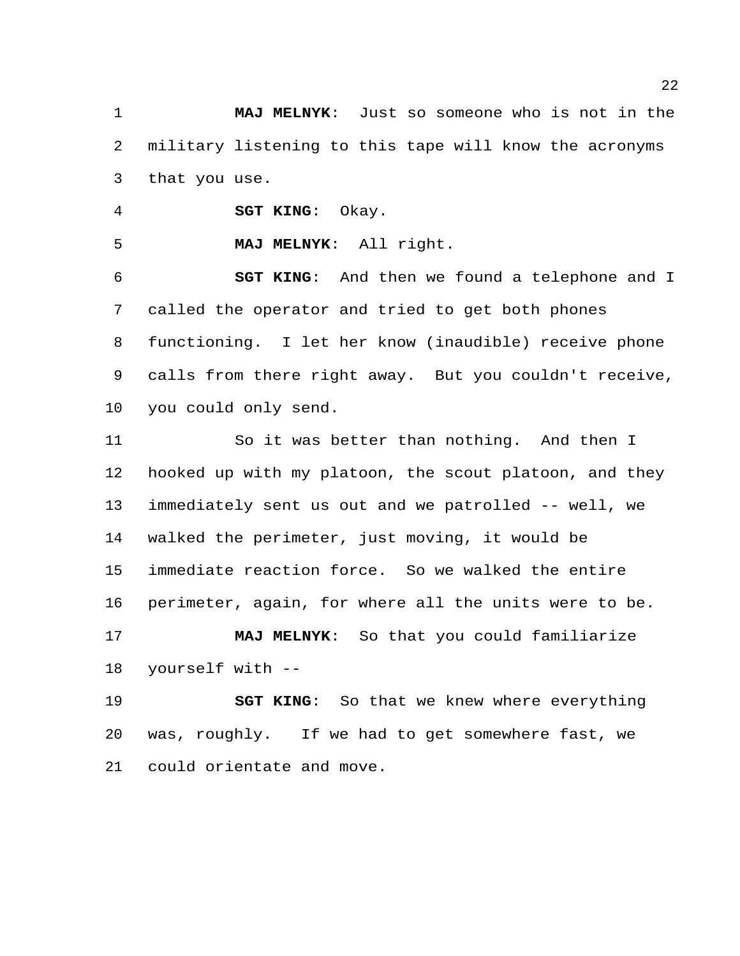**MAJ MELNYK**: Just so someone who is not in the military listening to this tape will know the acronyms that you use.

**SGT KING**: Okay.

**MAJ MELNYK**: All right.

 **SGT KING**: And then we found a telephone and I called the operator and tried to get both phones functioning. I let her know (inaudible) receive phone calls from there right away. But you couldn't receive, you could only send.

 So it was better than nothing. And then I hooked up with my platoon, the scout platoon, and they immediately sent us out and we patrolled -- well, we walked the perimeter, just moving, it would be immediate reaction force. So we walked the entire perimeter, again, for where all the units were to be. **MAJ MELNYK**: So that you could familiarize yourself with --

 **SGT KING**: So that we knew where everything was, roughly. If we had to get somewhere fast, we could orientate and move.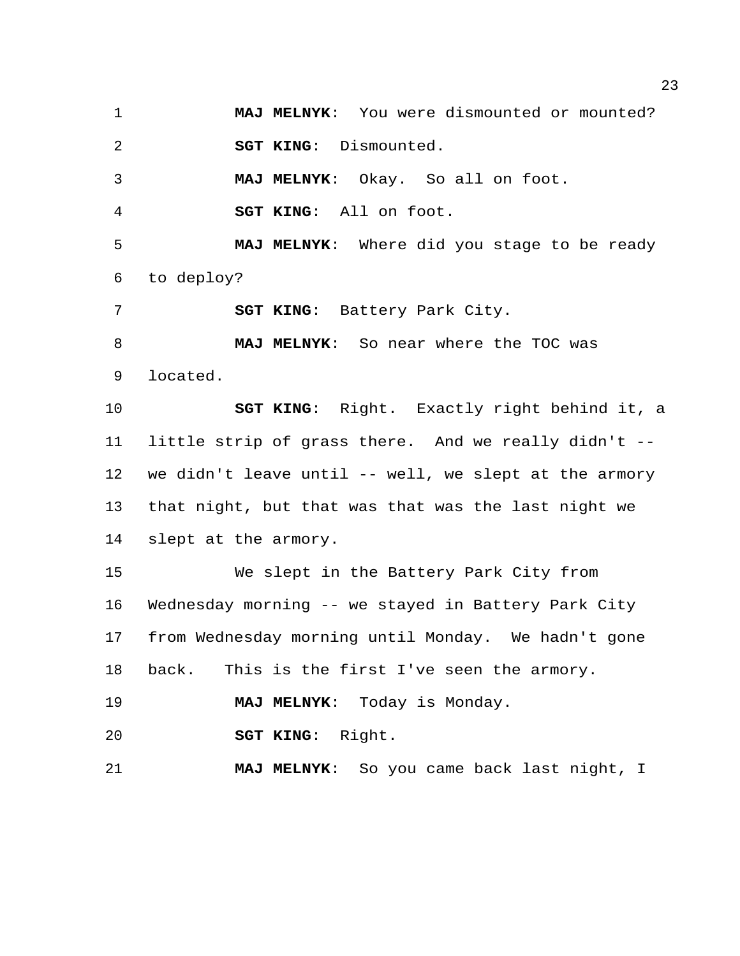**MAJ MELNYK**: You were dismounted or mounted? **SGT KING**: Dismounted. **MAJ MELNYK**: Okay. So all on foot. **SGT KING**: All on foot. **MAJ MELNYK**: Where did you stage to be ready to deploy? **SGT KING**: Battery Park City. **MAJ MELNYK**: So near where the TOC was located. **SGT KING**: Right. Exactly right behind it, a little strip of grass there. And we really didn't -- we didn't leave until -- well, we slept at the armory that night, but that was that was the last night we slept at the armory. We slept in the Battery Park City from Wednesday morning -- we stayed in Battery Park City from Wednesday morning until Monday. We hadn't gone back. This is the first I've seen the armory. **MAJ MELNYK**: Today is Monday. **SGT KING**: Right. **MAJ MELNYK**: So you came back last night, I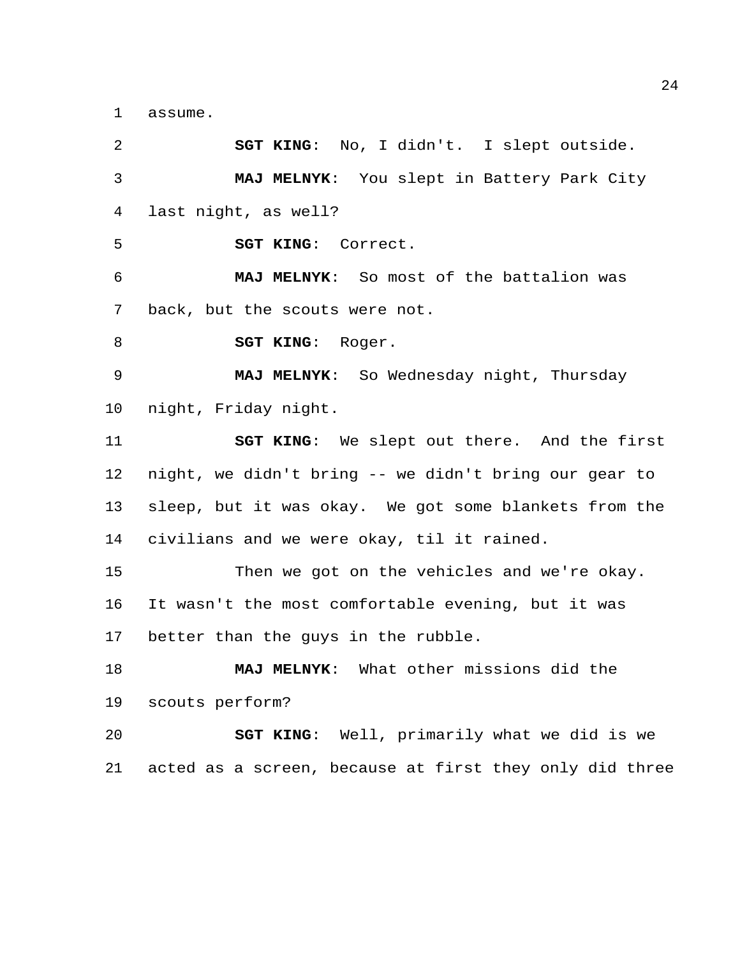assume.

 **SGT KING**: No, I didn't. I slept outside. **MAJ MELNYK**: You slept in Battery Park City last night, as well? **SGT KING**: Correct. **MAJ MELNYK**: So most of the battalion was back, but the scouts were not. **SGT KING**: Roger. **MAJ MELNYK**: So Wednesday night, Thursday night, Friday night. **SGT KING**: We slept out there. And the first night, we didn't bring -- we didn't bring our gear to sleep, but it was okay. We got some blankets from the civilians and we were okay, til it rained. Then we got on the vehicles and we're okay. It wasn't the most comfortable evening, but it was better than the guys in the rubble. **MAJ MELNYK**: What other missions did the scouts perform? **SGT KING**: Well, primarily what we did is we acted as a screen, because at first they only did three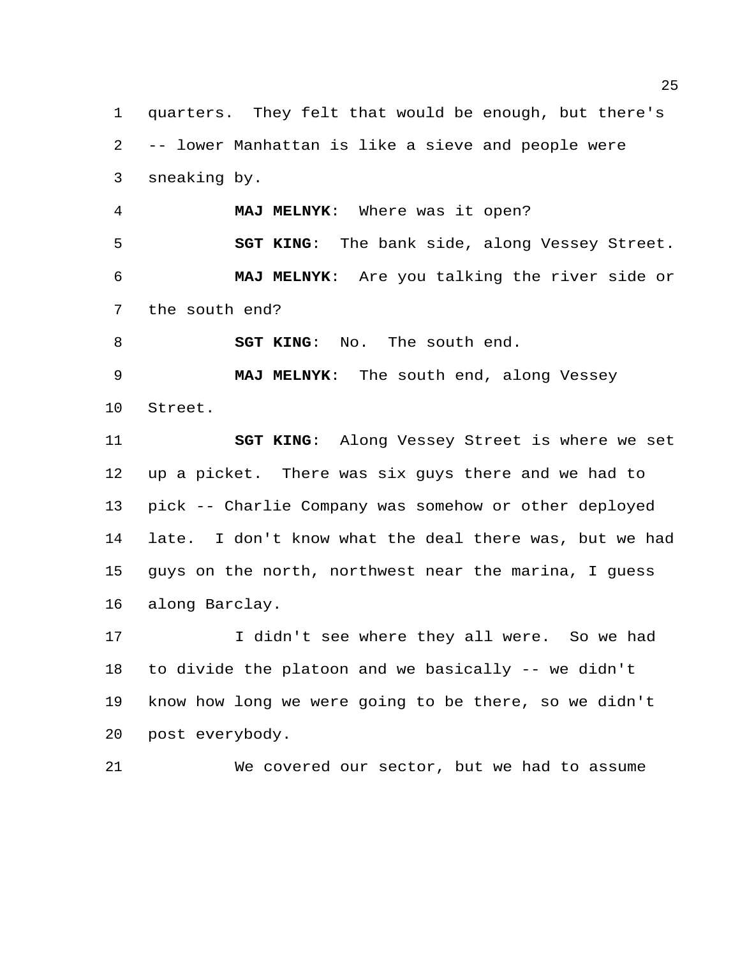quarters. They felt that would be enough, but there's -- lower Manhattan is like a sieve and people were sneaking by.

 **MAJ MELNYK**: Where was it open? **SGT KING**: The bank side, along Vessey Street. **MAJ MELNYK**: Are you talking the river side or the south end?

**SGT KING:** No. The south end.

 **MAJ MELNYK**: The south end, along Vessey Street.

 **SGT KING**: Along Vessey Street is where we set up a picket. There was six guys there and we had to pick -- Charlie Company was somehow or other deployed late. I don't know what the deal there was, but we had guys on the north, northwest near the marina, I guess along Barclay.

 I didn't see where they all were. So we had to divide the platoon and we basically -- we didn't know how long we were going to be there, so we didn't post everybody.

We covered our sector, but we had to assume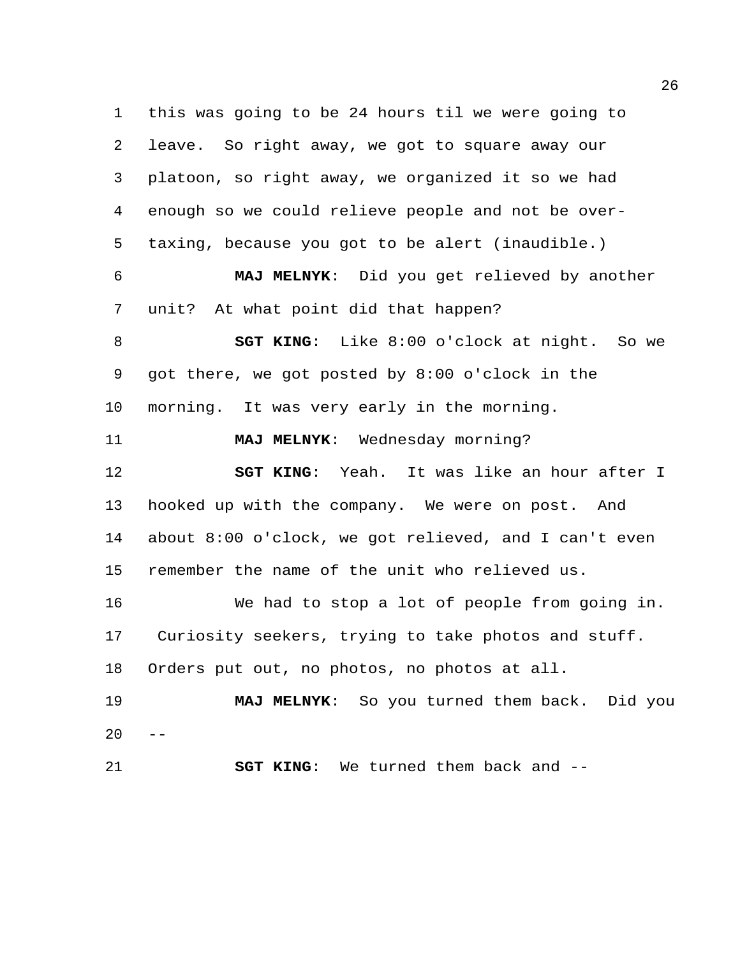this was going to be 24 hours til we were going to leave. So right away, we got to square away our platoon, so right away, we organized it so we had enough so we could relieve people and not be over- taxing, because you got to be alert (inaudible.) **MAJ MELNYK**: Did you get relieved by another unit? At what point did that happen? **SGT KING**: Like 8:00 o'clock at night. So we got there, we got posted by 8:00 o'clock in the morning. It was very early in the morning. **MAJ MELNYK**: Wednesday morning? **SGT KING**: Yeah. It was like an hour after I hooked up with the company. We were on post. And about 8:00 o'clock, we got relieved, and I can't even remember the name of the unit who relieved us. We had to stop a lot of people from going in. Curiosity seekers, trying to take photos and stuff. Orders put out, no photos, no photos at all. **MAJ MELNYK**: So you turned them back. Did you  $20 - -$ **SGT KING**: We turned them back and --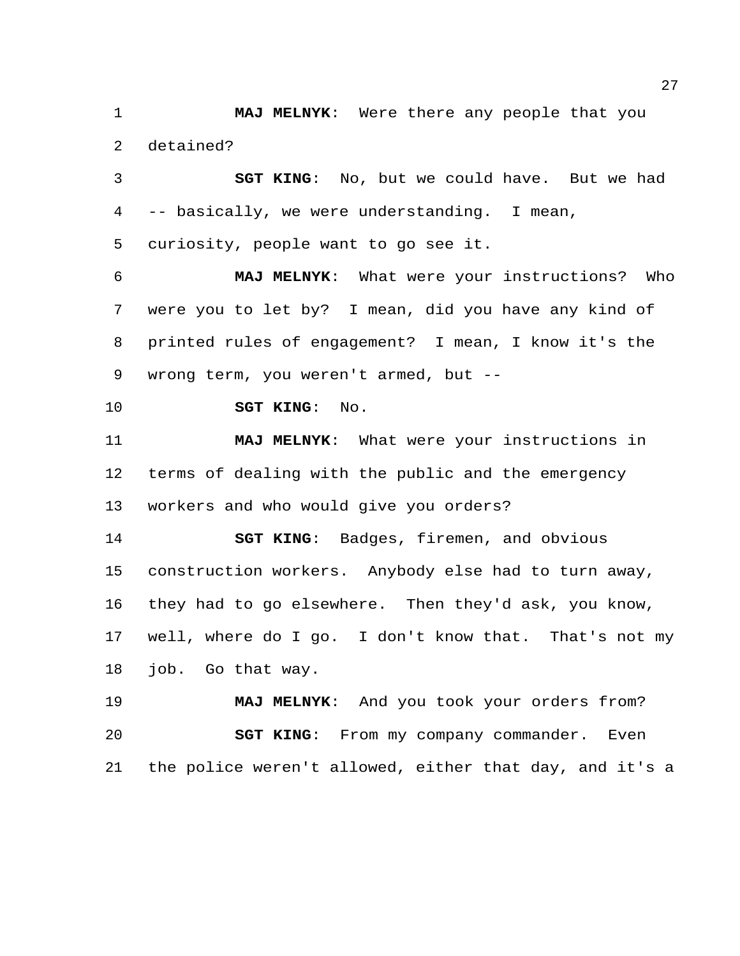**MAJ MELNYK**: Were there any people that you detained?

 **SGT KING**: No, but we could have. But we had -- basically, we were understanding. I mean, curiosity, people want to go see it.

 **MAJ MELNYK**: What were your instructions? Who were you to let by? I mean, did you have any kind of printed rules of engagement? I mean, I know it's the wrong term, you weren't armed, but --

**SGT KING**: No.

 **MAJ MELNYK**: What were your instructions in terms of dealing with the public and the emergency workers and who would give you orders?

 **SGT KING**: Badges, firemen, and obvious construction workers. Anybody else had to turn away, they had to go elsewhere. Then they'd ask, you know, well, where do I go. I don't know that. That's not my job. Go that way.

 **MAJ MELNYK**: And you took your orders from? **SGT KING**: From my company commander. Even the police weren't allowed, either that day, and it's a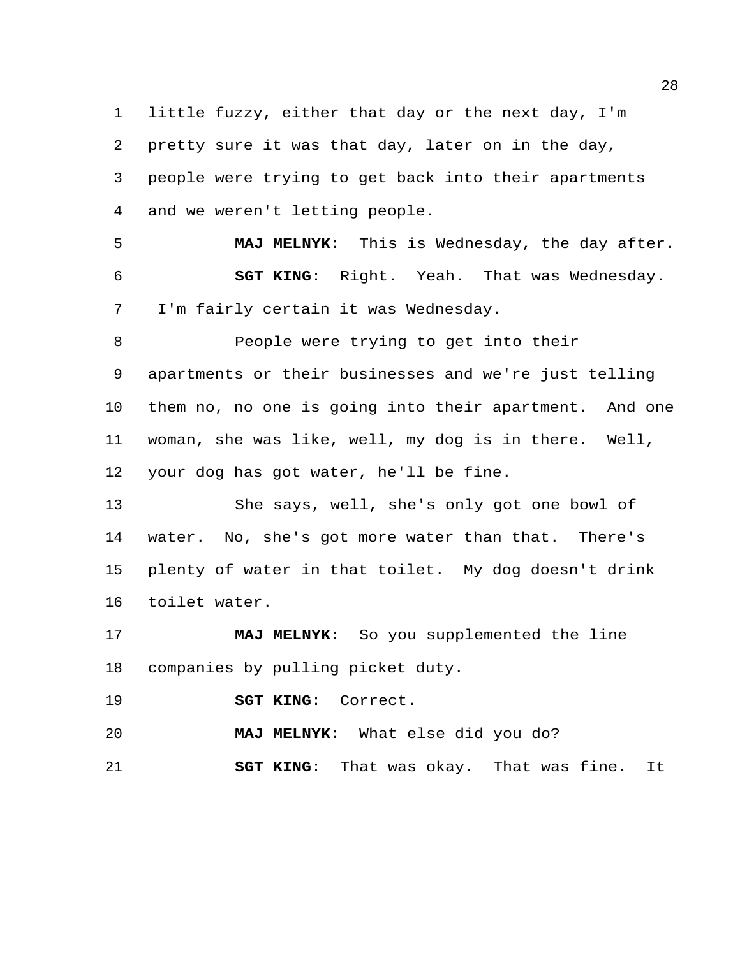little fuzzy, either that day or the next day, I'm pretty sure it was that day, later on in the day, people were trying to get back into their apartments and we weren't letting people.

 **MAJ MELNYK**: This is Wednesday, the day after. **SGT KING**: Right. Yeah. That was Wednesday. I'm fairly certain it was Wednesday.

 People were trying to get into their apartments or their businesses and we're just telling them no, no one is going into their apartment. And one woman, she was like, well, my dog is in there. Well, your dog has got water, he'll be fine.

 She says, well, she's only got one bowl of water. No, she's got more water than that. There's plenty of water in that toilet. My dog doesn't drink toilet water.

 **MAJ MELNYK**: So you supplemented the line companies by pulling picket duty.

**SGT KING**: Correct.

**MAJ MELNYK**: What else did you do?

**SGT KING**: That was okay. That was fine. It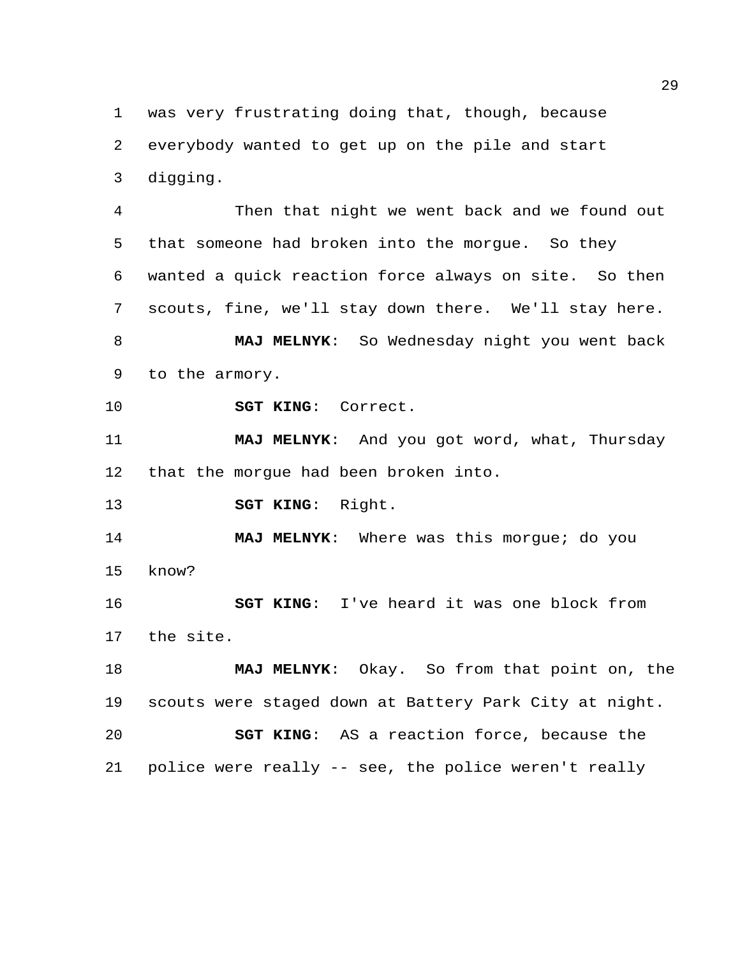was very frustrating doing that, though, because everybody wanted to get up on the pile and start digging.

 Then that night we went back and we found out that someone had broken into the morgue. So they wanted a quick reaction force always on site. So then scouts, fine, we'll stay down there. We'll stay here. **MAJ MELNYK**: So Wednesday night you went back

to the armory.

**SGT KING**: Correct.

 **MAJ MELNYK**: And you got word, what, Thursday that the morgue had been broken into.

**SGT KING**: Right.

 **MAJ MELNYK**: Where was this morgue; do you know?

 **SGT KING**: I've heard it was one block from the site.

 **MAJ MELNYK**: Okay. So from that point on, the scouts were staged down at Battery Park City at night. **SGT KING**: AS a reaction force, because the police were really -- see, the police weren't really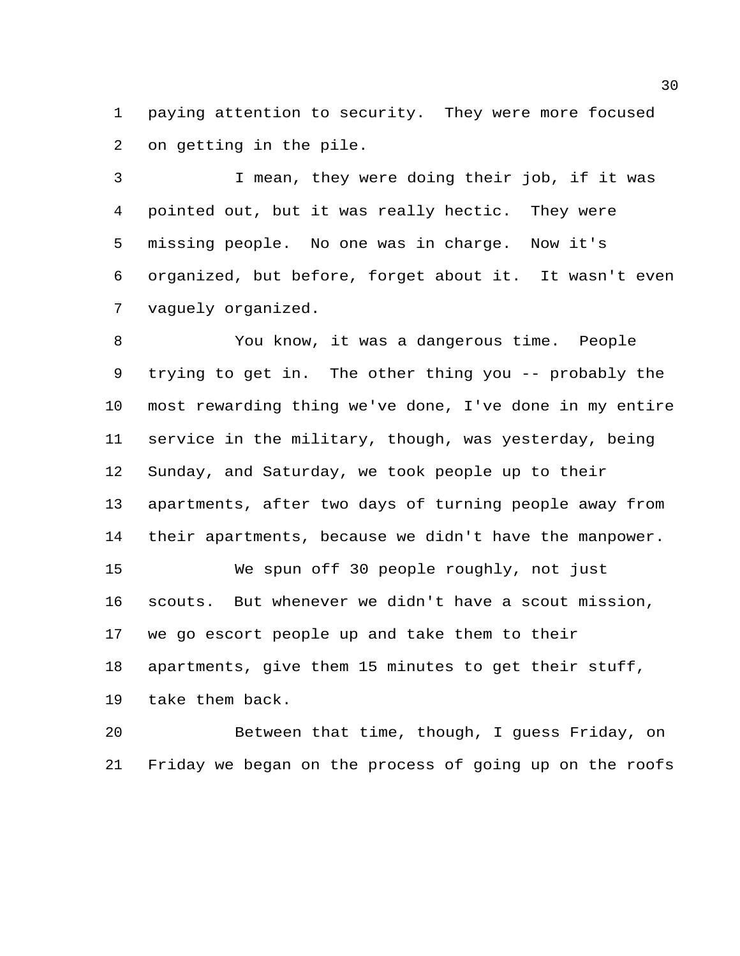paying attention to security. They were more focused on getting in the pile.

 I mean, they were doing their job, if it was pointed out, but it was really hectic. They were missing people. No one was in charge. Now it's organized, but before, forget about it. It wasn't even vaguely organized.

 You know, it was a dangerous time. People trying to get in. The other thing you -- probably the most rewarding thing we've done, I've done in my entire service in the military, though, was yesterday, being Sunday, and Saturday, we took people up to their apartments, after two days of turning people away from their apartments, because we didn't have the manpower. We spun off 30 people roughly, not just scouts. But whenever we didn't have a scout mission, we go escort people up and take them to their apartments, give them 15 minutes to get their stuff, take them back.

 Between that time, though, I guess Friday, on Friday we began on the process of going up on the roofs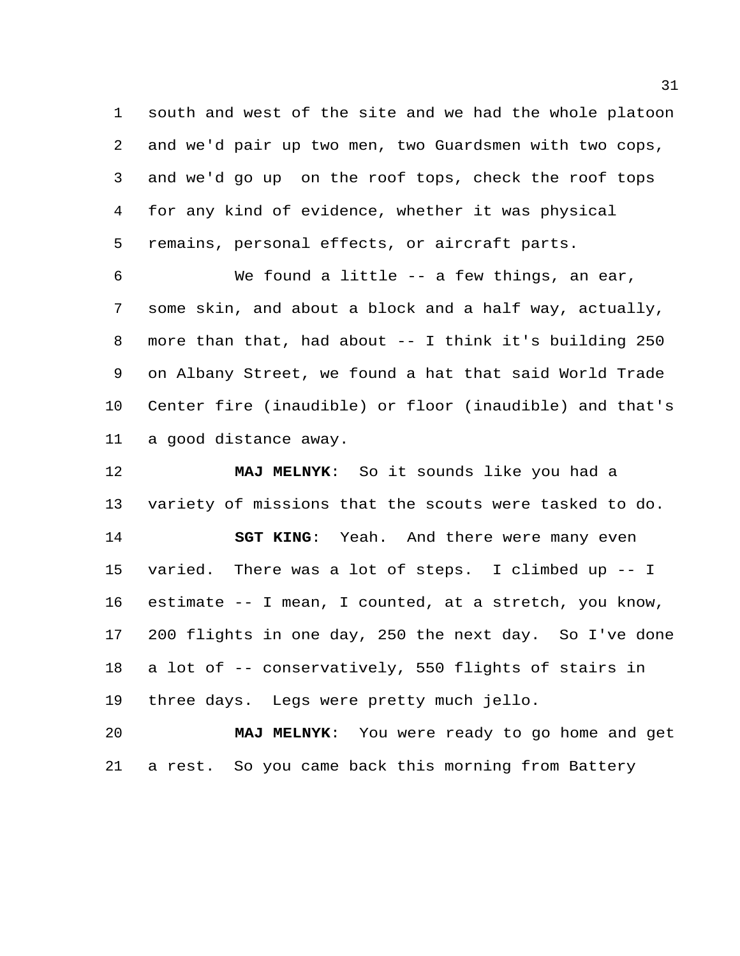south and west of the site and we had the whole platoon and we'd pair up two men, two Guardsmen with two cops, and we'd go up on the roof tops, check the roof tops for any kind of evidence, whether it was physical remains, personal effects, or aircraft parts.

 We found a little -- a few things, an ear, some skin, and about a block and a half way, actually, more than that, had about -- I think it's building 250 on Albany Street, we found a hat that said World Trade Center fire (inaudible) or floor (inaudible) and that's a good distance away.

 **MAJ MELNYK**: So it sounds like you had a variety of missions that the scouts were tasked to do. **SGT KING**: Yeah. And there were many even varied. There was a lot of steps. I climbed up -- I estimate -- I mean, I counted, at a stretch, you know, 200 flights in one day, 250 the next day. So I've done a lot of -- conservatively, 550 flights of stairs in three days. Legs were pretty much jello.

 **MAJ MELNYK**: You were ready to go home and get a rest. So you came back this morning from Battery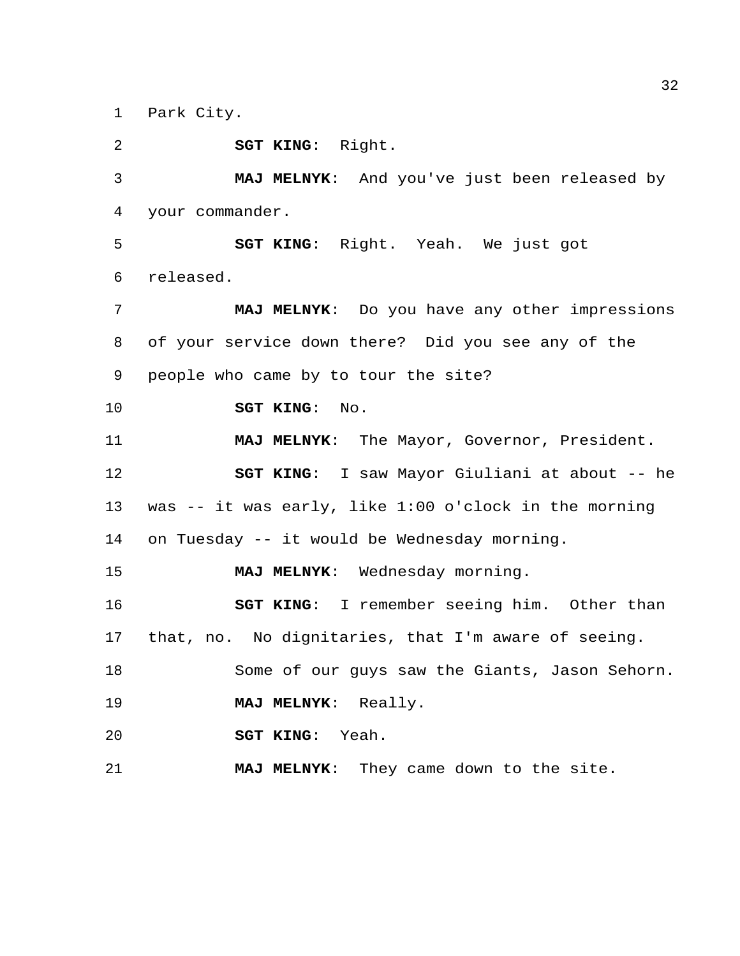Park City.

**SGT KING**: Right.

 **MAJ MELNYK**: And you've just been released by your commander.

 **SGT KING**: Right. Yeah. We just got released.

 **MAJ MELNYK**: Do you have any other impressions of your service down there? Did you see any of the people who came by to tour the site?

**SGT KING**: No.

 **MAJ MELNYK**: The Mayor, Governor, President. **SGT KING**: I saw Mayor Giuliani at about -- he was -- it was early, like 1:00 o'clock in the morning on Tuesday -- it would be Wednesday morning.

**MAJ MELNYK**: Wednesday morning.

 **SGT KING**: I remember seeing him. Other than that, no. No dignitaries, that I'm aware of seeing.

Some of our guys saw the Giants, Jason Sehorn.

**MAJ MELNYK**: Really.

**SGT KING**: Yeah.

**MAJ MELNYK**: They came down to the site.